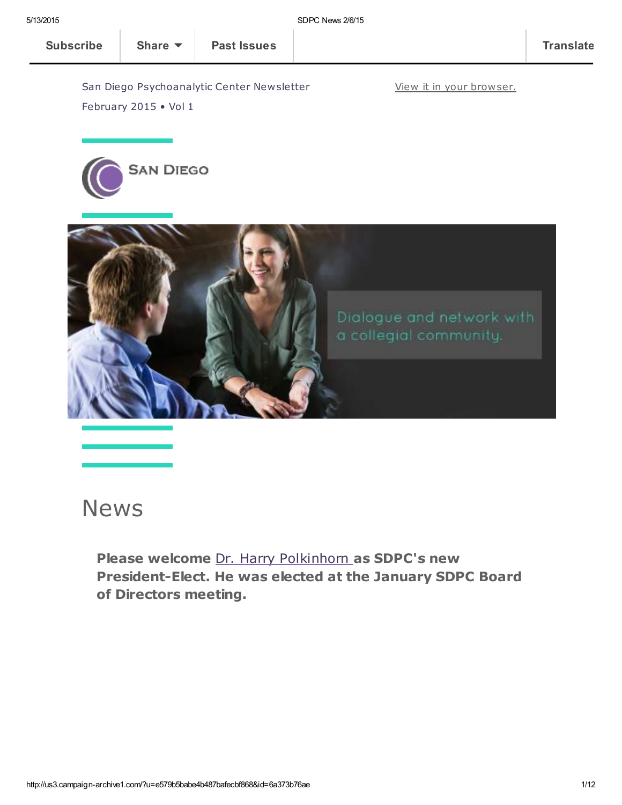View it in your [browser.](http://us3.campaign-archive2.com/?u=e579b5babe4b487bafecbf868&id=6a373b76ae&e=[UNIQID])

San Diego Psychoanalytic Center Newsletter February 2015 • Vol 1





## News

Please welcome Dr. Harry [Polkinhorn](http://www.sdpsychoanalyticcenter.org/members/profiles/65#profile-main) as SDPC's new President-Elect. He was elected at the January SDPC Board of Directors meeting.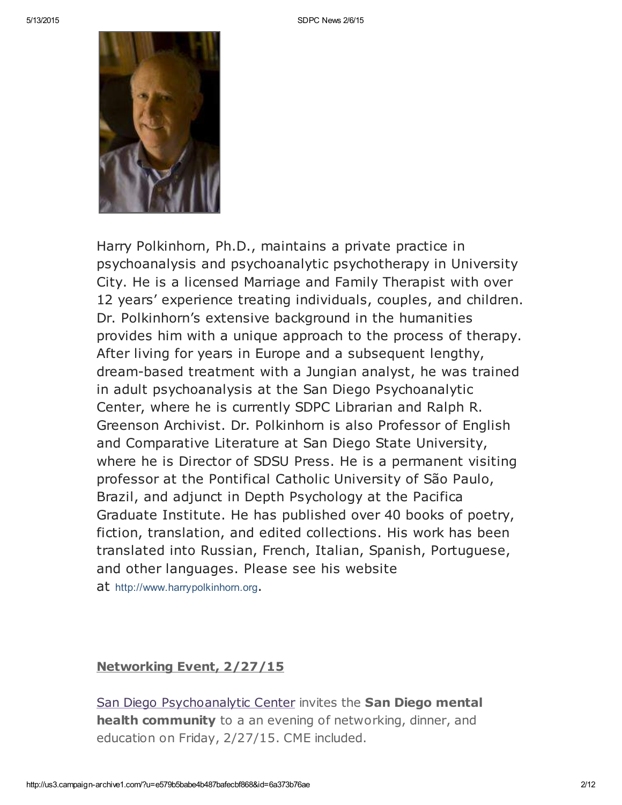

Harry Polkinhorn, Ph.D., maintains a private practice in psychoanalysis and psychoanalytic psychotherapy in University City. He is a licensed Marriage and Family Therapist with over 12 years' experience treating individuals, couples, and children. Dr. Polkinhorn's extensive background in the humanities provides him with a unique approach to the process of therapy. After living for years in Europe and a subsequent lengthy, dream-based treatment with a Jungian analyst, he was trained in adult psychoanalysis at the San Diego Psychoanalytic Center, where he is currently SDPC Librarian and Ralph R. Greenson Archivist. Dr. Polkinhorn is also Professor of English and Comparative Literature at San Diego State University, where he is Director of SDSU Press. He is a permanent visiting professor at the Pontifical Catholic University of São Paulo, Brazil, and adjunct in Depth Psychology at the Pacifica Graduate Institute. He has published over 40 books of poetry, fiction, translation, and edited collections. His work has been translated into Russian, French, Italian, Spanish, Portuguese, and other languages. Please see his website at [http://www.harrypolkinhorn.org](http://www.harrypolkinhorn.org/).

### Networking Event, 2/27/15

San Diego [Psychoanalytic](http://www.sdpsychoanalyticcenter.org/) Center invites the San Diego mental health community to a an evening of networking, dinner, and education on Friday, 2/27/15. CME included.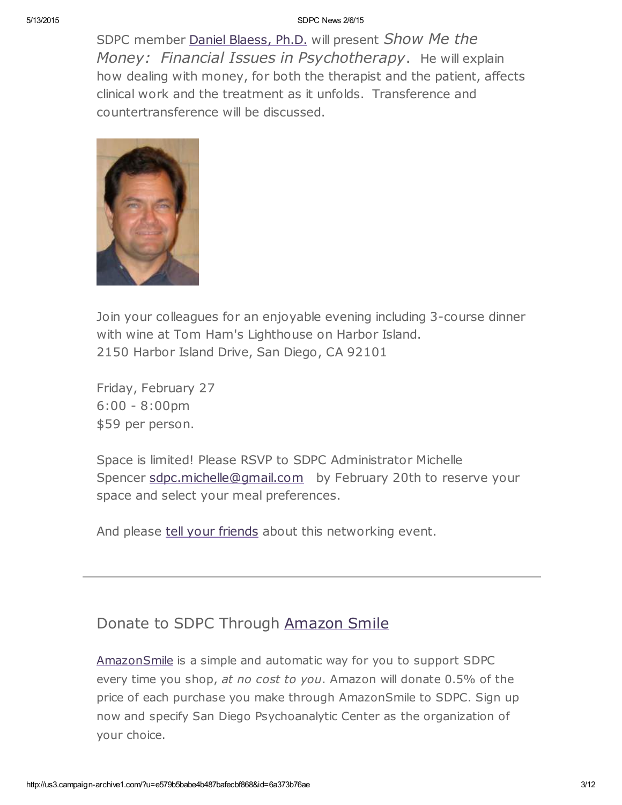SDPC member Daniel [Blaess,](http://www.sdpsychoanalyticcenter.org/members/profiles/32#profile-main) Ph.D. will present Show Me the Money: Financial Issues in Psychotherapy. He will explain how dealing with money, for both the therapist and the patient, affects clinical work and the treatment as it unfolds. Transference and countertransference will be discussed.



Join your colleagues for an enjoyable evening including 3-course dinner with wine at Tom Ham's Lighthouse on Harbor Island. 2150 Harbor Island Drive, San Diego, CA 92101

Friday, February 27 6:00 - 8:00pm \$59 per person.

Space is limited! Please RSVP to SDPC Administrator Michelle Spencer [sdpc.michelle@gmail.com](mailto:sdpc.michelle@gmail.com) by February 20th to reserve your space and select your meal preferences.

And please tell your [friends](mailto:?subject=Show%20me%20the%20money%20-%20SDPC%20networking%20event%202%2F27%2F15&body=Greetings.%20Check%20out%20this%20upcoming%20networking%20event%20open%20to%20any%20San%20Diego%20mental%20health%20professional.%20%0A___%0ASan%20Diego%20Psychoanalytic%20Center%20invites%20the%20San%20Diego%20mental%20health%20community%20to%20a%20an%20evening%20of%20networking%2C%20dinner%2C%20and%20education%20on%20Friday%2C%202%2F27%2F15.%20CME%20included.%20%20%0A%20%0ASDPC%20member%20Daniel%20Blaess%2C%20Ph.D.%20will%20present%20Show%20Me%20the%20Money%3A%20%20Financial%20Issues%20in%20Psychotherapy.%20%20He%20will%20explain%20how%20dealing%20with%20money%2C%20for%20both%20the%20therapist%20and%20the%20patient%2C%20affects%20clinical%20work%20and%20the%20treatment%20as%20it%20unfolds.%20%20Transference%20and%20countertransference%20will%20be%20discussed.%0A%20%0AJoin%20your%20colleagues%20for%20an%20enjoyable%20evening%20including%203-course%20dinner%20with%20wine%20at%20Tom%20Ham%27s%20Lighthouse%20on%20Harbor%20Island.%0A2150%20Harbor%20Island%20Drive%2C%20San%20Diego%2C%20CA%2092101%0A%20%0AFriday%2C%20February%2027%0A6%3A00%20-%208%3A00pm%0A%2459%20per%20person.%0A%20%0ASpace%20is%20limited!%20Please%20RSVP%20to%20SDPC%20Administrator%20Michelle%20Spencer%20sdpc.michelle%40gmail.com%20%20%20by%20February%2020th%20to%20reserve%20your%20space%20and%20select%20your%20meal%20preferences.%20%0A%0AAnd%20please%20tell%20your%20friends%20about%20this%20networking%20event.%20) about this networking event.

## Donate to SDPC Through [Amazon](http://www.sdpsychoanalyticcenter.org/node/395#overlay-context=node/395) Smile

[AmazonSmile](http://smile.amazon.com/about) is a simple and automatic way for you to support SDPC every time you shop, at no cost to you. Amazon will donate 0.5% of the price of each purchase you make through AmazonSmile to SDPC. Sign up now and specify San Diego Psychoanalytic Center as the organization of your choice.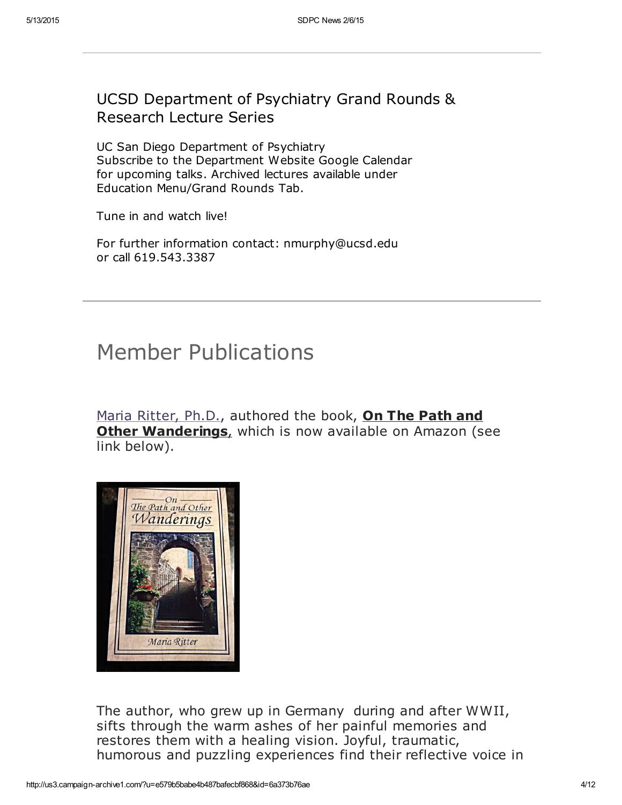## UCSD Department of Psychiatry Grand Rounds & Research Lecture Series

UC San Diego Department of Psychiatry Subscribe to the Department Website Google Calendar for upcoming talks. Archived lectures available under Education Menu/Grand Rounds Tab.

Tune in and watch live!

For further information contact: nmurphy@ucsd.edu or call 619.543.3387

## Member Publications

Maria [Ritter,](http://www.sdpsychoanalyticcenter.org/members/profiles/3#profile-main) Ph.D., authored the book, On The Path and **Other Wanderings**, which is now available on Amazon (see link below).



The author, who grew up in Germany during and after WWII, sifts through the warm ashes of her painful memories and restores them with a healing vision. Joyful, traumatic, humorous and puzzling experiences find their reflective voice in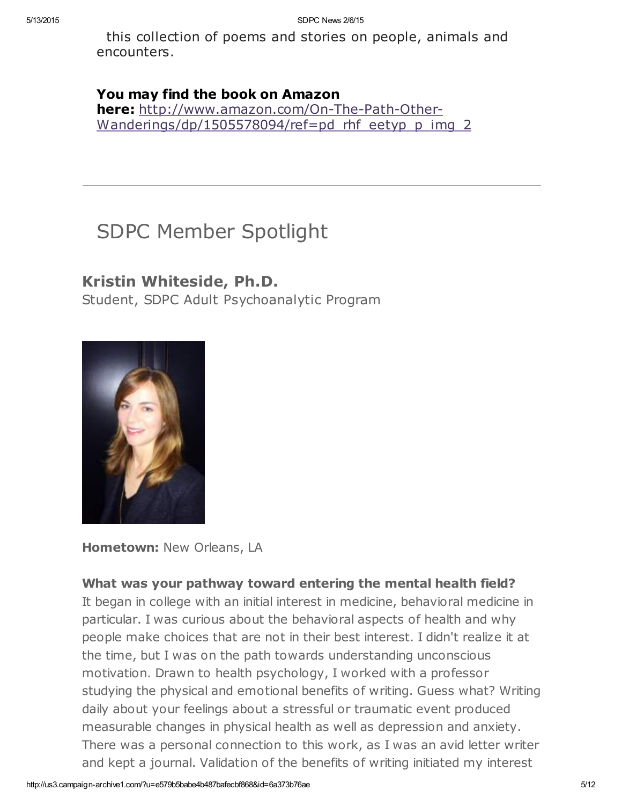this collection of poems and stories on people, animals and encounters.

### You may find the book on Amazon

here: http://www.amazon.com/On-The-Path-Other-[Wanderings/dp/1505578094/ref=pd\\_rhf\\_eetyp\\_p\\_img\\_2](http://www.amazon.com/On-The-Path-Other-Wanderings/dp/1505578094/ref=pd_rhf_eetyp_p_img_2)

## SDPC Member Spotlight

## Kristin Whiteside, Ph.D.

Student, SDPC Adult Psychoanalytic Program



Hometown: New Orleans, LA

### What was your pathway toward entering the mental health field?

It began in college with an initial interest in medicine, behavioral medicine in particular. I was curious about the behavioral aspects of health and why people make choices that are not in their best interest. I didn't realize it at the time, but I was on the path towards understanding unconscious motivation. Drawn to health psychology, I worked with a professor studying the physical and emotional benefits of writing. Guess what? Writing daily about your feelings about a stressful or traumatic event produced measurable changes in physical health as well as depression and anxiety. There was a personal connection to this work, as I was an avid letter writer and kept a journal. Validation of the benefits of writing initiated my interest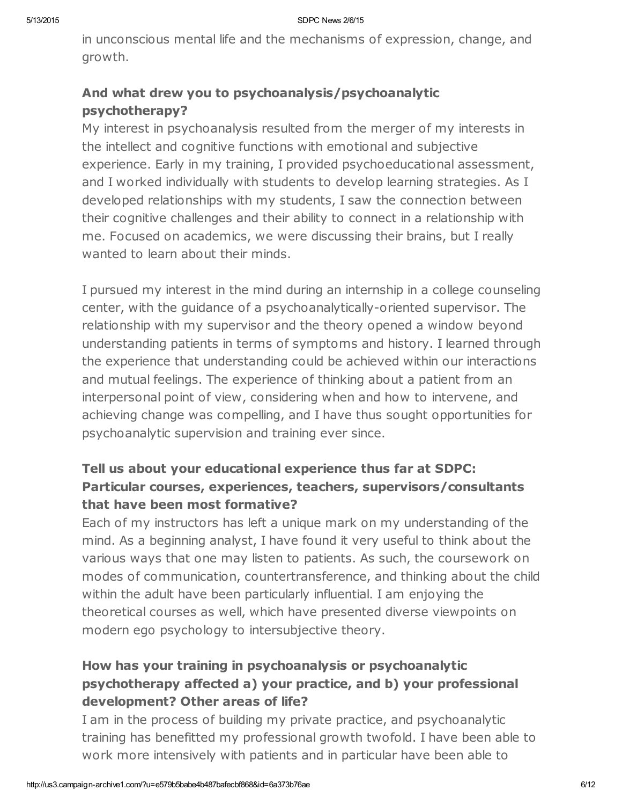in unconscious mental life and the mechanisms of expression, change, and growth.

## And what drew you to psychoanalysis/psychoanalytic psychotherapy?

My interest in psychoanalysis resulted from the merger of my interests in the intellect and cognitive functions with emotional and subjective experience. Early in my training, I provided psychoeducational assessment, and I worked individually with students to develop learning strategies. As I developed relationships with my students, I saw the connection between their cognitive challenges and their ability to connect in a relationship with me. Focused on academics, we were discussing their brains, but I really wanted to learn about their minds.

I pursued my interest in the mind during an internship in a college counseling center, with the guidance of a psychoanalytically-oriented supervisor. The relationship with my supervisor and the theory opened a window beyond understanding patients in terms of symptoms and history. I learned through the experience that understanding could be achieved within our interactions and mutual feelings. The experience of thinking about a patient from an interpersonal point of view, considering when and how to intervene, and achieving change was compelling, and I have thus sought opportunities for psychoanalytic supervision and training ever since.

### Tell us about your educational experience thus far at SDPC: Particular courses, experiences, teachers, supervisors/consultants that have been most formative?

Each of my instructors has left a unique mark on my understanding of the mind. As a beginning analyst, I have found it very useful to think about the various ways that one may listen to patients. As such, the coursework on modes of communication, countertransference, and thinking about the child within the adult have been particularly influential. I am enjoying the theoretical courses as well, which have presented diverse viewpoints on modern ego psychology to intersubjective theory.

## How has your training in psychoanalysis or psychoanalytic psychotherapy affected a) your practice, and b) your professional development? Other areas of life?

I am in the process of building my private practice, and psychoanalytic training has benefitted my professional growth twofold. I have been able to work more intensively with patients and in particular have been able to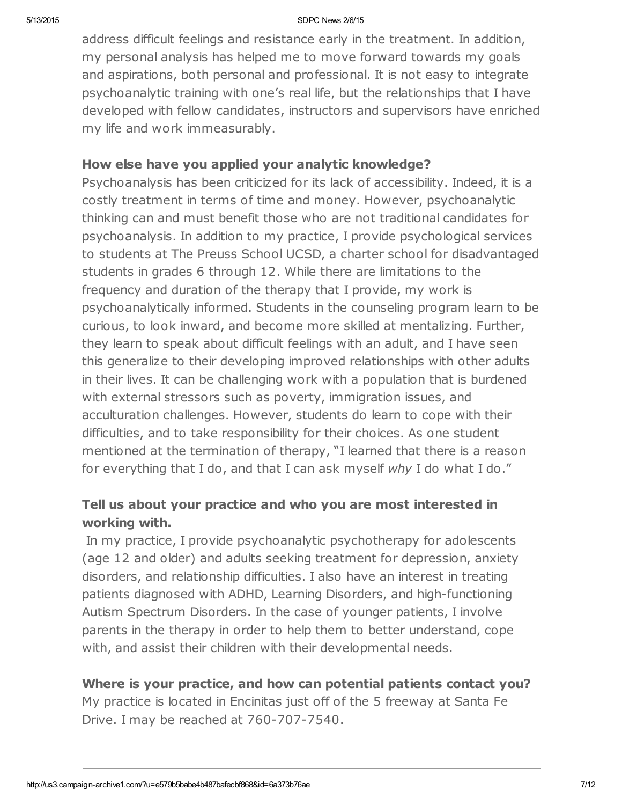address difficult feelings and resistance early in the treatment. In addition, my personal analysis has helped me to move forward towards my goals and aspirations, both personal and professional. It is not easy to integrate psychoanalytic training with one's real life, but the relationships that I have developed with fellow candidates, instructors and supervisors have enriched my life and work immeasurably.

### How else have you applied your analytic knowledge?

Psychoanalysis has been criticized for its lack of accessibility. Indeed, it is a costly treatment in terms of time and money. However, psychoanalytic thinking can and must benefit those who are not traditional candidates for psychoanalysis. In addition to my practice, I provide psychological services to students at The Preuss School UCSD, a charter school for disadvantaged students in grades 6 through 12. While there are limitations to the frequency and duration of the therapy that I provide, my work is psychoanalytically informed. Students in the counseling program learn to be curious, to look inward, and become more skilled at mentalizing. Further, they learn to speak about difficult feelings with an adult, and I have seen this generalize to their developing improved relationships with other adults in their lives. It can be challenging work with a population that is burdened with external stressors such as poverty, immigration issues, and acculturation challenges. However, students do learn to cope with their difficulties, and to take responsibility for their choices. As one student mentioned at the termination of therapy, "I learned that there is a reason for everything that I do, and that I can ask myself why I do what I do."

### Tell us about your practice and who you are most interested in working with.

In my practice, I provide psychoanalytic psychotherapy for adolescents (age 12 and older) and adults seeking treatment for depression, anxiety disorders, and relationship difficulties. I also have an interest in treating patients diagnosed with ADHD, Learning Disorders, and high-functioning Autism Spectrum Disorders. In the case of younger patients, I involve parents in the therapy in order to help them to better understand, cope with, and assist their children with their developmental needs.

### Where is your practice, and how can potential patients contact you?

My practice is located in Encinitas just off of the 5 freeway at Santa Fe Drive. I may be reached at 760-707-7540.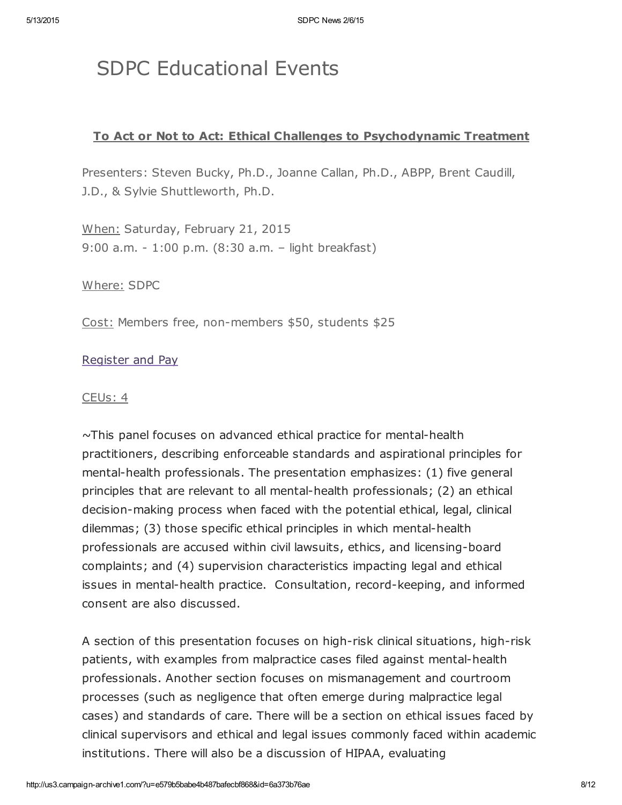## SDPC Educational Events

### To Act or Not to Act: Ethical Challenges to Psychodynamic Treatment

Presenters: Steven Bucky, Ph.D., Joanne Callan, Ph.D., ABPP, Brent Caudill, J.D., & Sylvie Shuttleworth, Ph.D.

When: Saturday, February 21, 2015 9:00 a.m. - 1:00 p.m. (8:30 a.m. – light breakfast)

Where: SDPC

Cost: Members free, non-members \$50, students \$25

### [Register](http://www.sdpsychoanalyticcenter.org/register-and-pay-online) and Pay

#### CEUs: 4

~This panel focuses on advanced ethical practice for mental-health practitioners, describing enforceable standards and aspirational principles for mental-health professionals. The presentation emphasizes: (1) five general principles that are relevant to all mental-health professionals; (2) an ethical decision-making process when faced with the potential ethical, legal, clinical dilemmas; (3) those specific ethical principles in which mental-health professionals are accused within civil lawsuits, ethics, and licensing-board complaints; and (4) supervision characteristics impacting legal and ethical issues in mental-health practice. Consultation, record-keeping, and informed consent are also discussed.

A section of this presentation focuses on high-risk clinical situations, high-risk patients, with examples from malpractice cases filed against mental-health professionals. Another section focuses on mismanagement and courtroom processes (such as negligence that often emerge during malpractice legal cases) and standards of care. There will be a section on ethical issues faced by clinical supervisors and ethical and legal issues commonly faced within academic institutions. There will also be a discussion of HIPAA, evaluating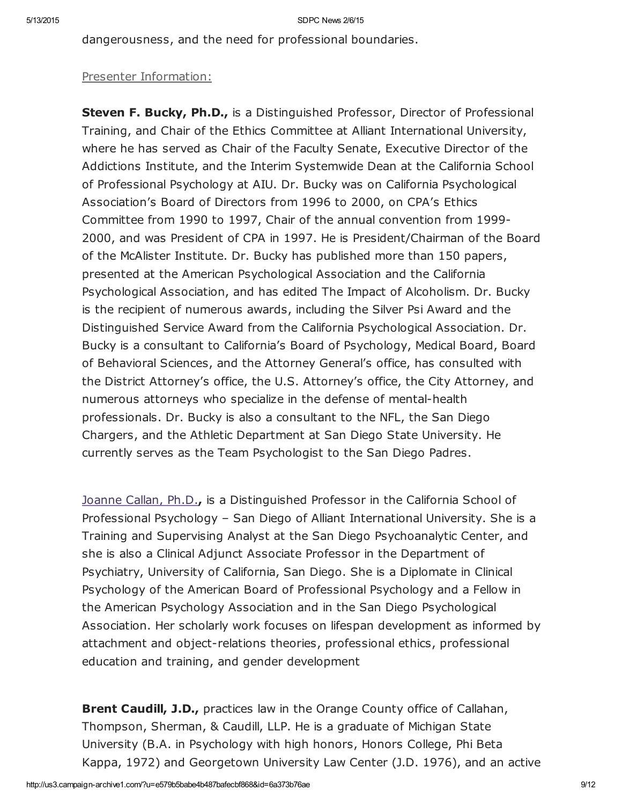dangerousness, and the need for professional boundaries.

### Presenter Information:

Steven F. Bucky, Ph.D., is a Distinguished Professor, Director of Professional Training, and Chair of the Ethics Committee at Alliant International University, where he has served as Chair of the Faculty Senate, Executive Director of the Addictions Institute, and the Interim Systemwide Dean at the California School of Professional Psychology at AIU. Dr. Bucky was on California Psychological Association's Board of Directors from 1996 to 2000, on CPA's Ethics Committee from 1990 to 1997, Chair of the annual convention from 1999- 2000, and was President of CPA in 1997. He is President/Chairman of the Board of the McAlister Institute. Dr. Bucky has published more than 150 papers, presented at the American Psychological Association and the California Psychological Association, and has edited The Impact of Alcoholism. Dr. Bucky is the recipient of numerous awards, including the Silver Psi Award and the Distinguished Service Award from the California Psychological Association. Dr. Bucky is a consultant to California's Board of Psychology, Medical Board, Board of Behavioral Sciences, and the Attorney General's office, has consulted with the District Attorney's office, the U.S. Attorney's office, the City Attorney, and numerous attorneys who specialize in the defense of mental-health professionals. Dr. Bucky is also a consultant to the NFL, the San Diego Chargers, and the Athletic Department at San Diego State University. He currently serves as the Team Psychologist to the San Diego Padres.

[Joanne](http://www.sdpsychoanalyticcenter.org/members/profiles/19#profile-main) Callan, Ph.D., is a Distinguished Professor in the California School of Professional Psychology – San Diego of Alliant International University. She is a Training and Supervising Analyst at the San Diego Psychoanalytic Center, and she is also a Clinical Adjunct Associate Professor in the Department of Psychiatry, University of California, San Diego. She is a Diplomate in Clinical Psychology of the American Board of Professional Psychology and a Fellow in the American Psychology Association and in the San Diego Psychological Association. Her scholarly work focuses on lifespan development as informed by attachment and object-relations theories, professional ethics, professional education and training, and gender development

**Brent Caudill, J.D.,** practices law in the Orange County office of Callahan, Thompson, Sherman, & Caudill, LLP. He is a graduate of Michigan State University (B.A. in Psychology with high honors, Honors College, Phi Beta Kappa, 1972) and Georgetown University Law Center (J.D. 1976), and an active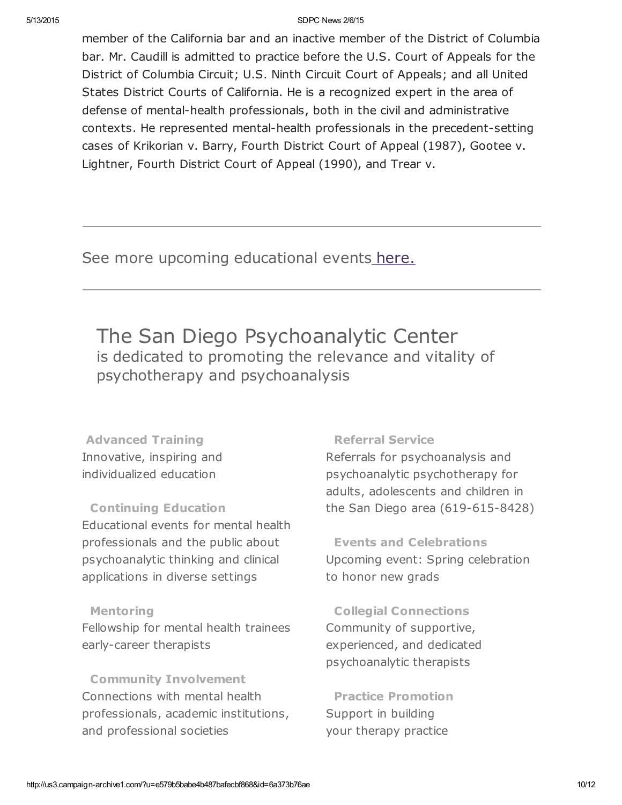member of the California bar and an inactive member of the District of Columbia bar. Mr. Caudill is admitted to practice before the U.S. Court of Appeals for the District of Columbia Circuit; U.S. Ninth Circuit Court of Appeals; and all United States District Courts of California. He is a recognized expert in the area of defense of mental-health professionals, both in the civil and administrative contexts. He represented mental-health professionals in the precedent-setting cases of Krikorian v. Barry, Fourth District Court of Appeal (1987), Gootee v. Lightner, Fourth District Court of Appeal (1990), and Trear v.

See more upcoming educational events [here.](http://www.sdpsychoanalyticcenter.org/community-connections/upcoming-events)

The San Diego Psychoanalytic Center is dedicated to promoting the relevance and vitality of psychotherapy and psychoanalysis

Advanced Training Innovative, inspiring and individualized education

#### Continuing Education

Educational events for mental health professionals and the public about psychoanalytic thinking and clinical applications in diverse settings

#### **Mentoring**

Fellowship for mental health trainees early-career therapists

Community Involvement Connections with mental health professionals, academic institutions, and professional societies

#### Referral Service

Referrals for psychoanalysis and psychoanalytic psychotherapy for adults, adolescents and children in the San Diego area (619-615-8428)

Events and Celebrations Upcoming event: Spring celebration to honor new grads

Collegial Connections Community of supportive, experienced, and dedicated psychoanalytic therapists

Practice Promotion Support in building your therapy practice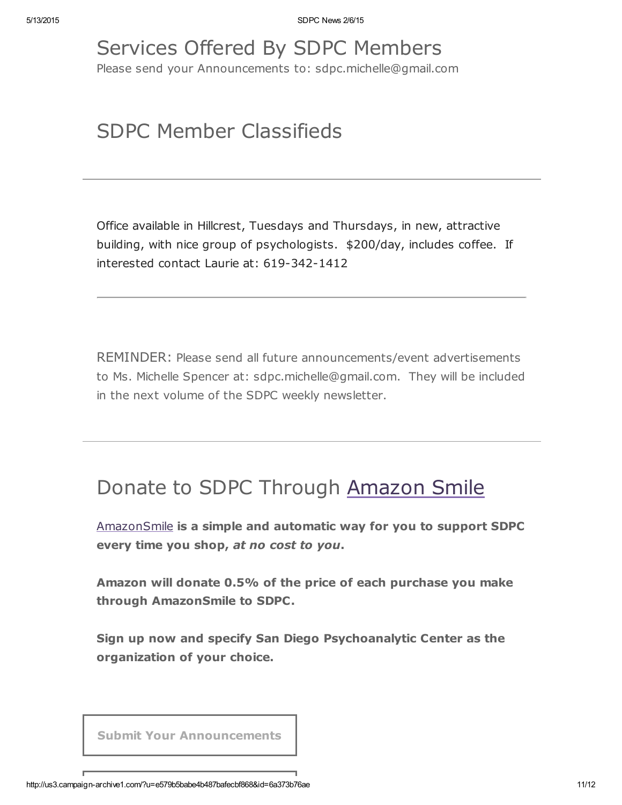# Services Offered By SDPC Members

Please send your Announcements to: sdpc.michelle@gmail.com

## SDPC Member Classifieds

Office available in Hillcrest, Tuesdays and Thursdays, in new, attractive building, with nice group of psychologists. \$200/day, includes coffee. If interested contact Laurie at: 619-342-1412

REMINDER: Please send all future announcements/event advertisements to Ms. Michelle Spencer at: sdpc.michelle@gmail.com. They will be included in the next volume of the SDPC weekly newsletter.

## Donate to SDPC Through [Amazon](http://www.sdpsychoanalyticcenter.org/node/395#overlay-context=node/395) Smile

[AmazonSmile](http://smile.amazon.com/about) is a simple and automatic way for you to support SDPC every time you shop, at no cost to you.

Amazon will donate 0.5% of the price of each purchase you make through AmazonSmile to SDPC.

Sign up now and specify San Diego Psychoanalytic Center as the organization of your choice.

Submit Your [Announcements](mailto:sdpc.michelle@gmail.com?subject=Announcement%20for%20next%20edition%20of%20SDPC%20newsletter&body=To%20the%20Editor%2C%20SDPC%20newsletter%0A%0APlease%20include%20the%20information%20below%20in%20the%20next%20issue%20of%20the%20SDPC%20newsletter.%20%0AThank%20you.%20%0A%0AFull%20Name%3A%20%0AEmail%3A%20%0APhone%3A%20%0A%0A____________%0A%0AAnnouncement%2F%20News%2F%20Wanted%20(e.g.%2C%20office%20to%20share))